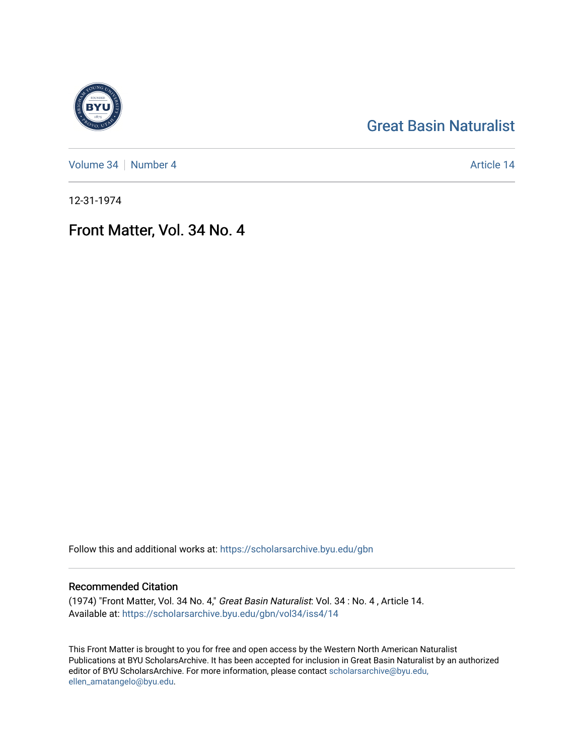## [Great Basin Naturalist](https://scholarsarchive.byu.edu/gbn)

[Volume 34](https://scholarsarchive.byu.edu/gbn/vol34) [Number 4](https://scholarsarchive.byu.edu/gbn/vol34/iss4) Article 14

12-31-1974

## Front Matter, Vol. 34 No. 4

Follow this and additional works at: [https://scholarsarchive.byu.edu/gbn](https://scholarsarchive.byu.edu/gbn?utm_source=scholarsarchive.byu.edu%2Fgbn%2Fvol34%2Fiss4%2F14&utm_medium=PDF&utm_campaign=PDFCoverPages) 

#### Recommended Citation

(1974) "Front Matter, Vol. 34 No. 4," Great Basin Naturalist: Vol. 34 : No. 4 , Article 14. Available at: [https://scholarsarchive.byu.edu/gbn/vol34/iss4/14](https://scholarsarchive.byu.edu/gbn/vol34/iss4/14?utm_source=scholarsarchive.byu.edu%2Fgbn%2Fvol34%2Fiss4%2F14&utm_medium=PDF&utm_campaign=PDFCoverPages) 

This Front Matter is brought to you for free and open access by the Western North American Naturalist Publications at BYU ScholarsArchive. It has been accepted for inclusion in Great Basin Naturalist by an authorized editor of BYU ScholarsArchive. For more information, please contact [scholarsarchive@byu.edu,](mailto:scholarsarchive@byu.edu,%20ellen_amatangelo@byu.edu) [ellen\\_amatangelo@byu.edu](mailto:scholarsarchive@byu.edu,%20ellen_amatangelo@byu.edu).

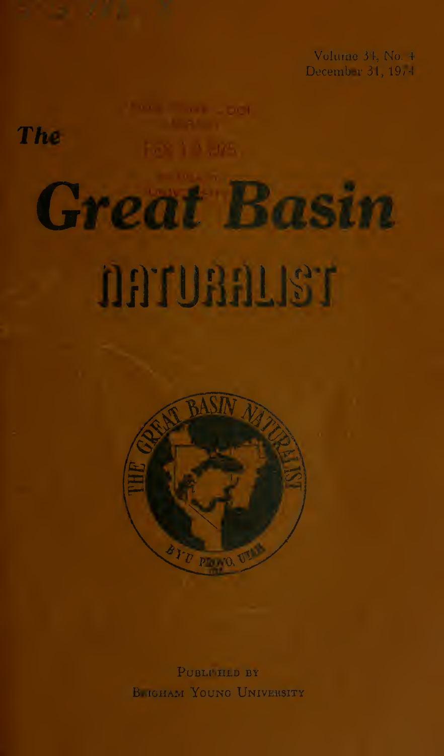Volume 34, No. 4 December 31, 1974

The

# **Great Basin**





PUBLI HED BY BRIGHAM YOUNG UNIVERSITY